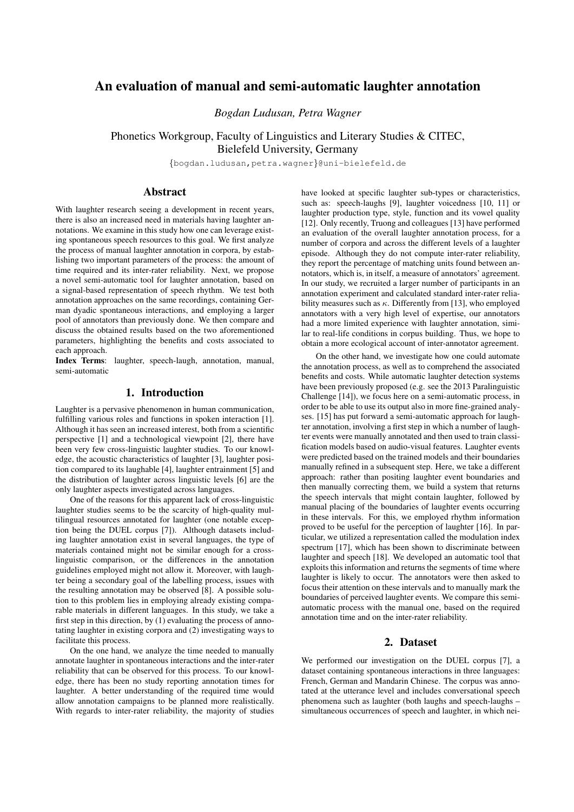# An evaluation of manual and semi-automatic laughter annotation

*Bogdan Ludusan, Petra Wagner*

Phonetics Workgroup, Faculty of Linguistics and Literary Studies & CITEC, Bielefeld University, Germany

{bogdan.ludusan,petra.wagner}@uni-bielefeld.de

# Abstract

With laughter research seeing a development in recent years, there is also an increased need in materials having laughter annotations. We examine in this study how one can leverage existing spontaneous speech resources to this goal. We first analyze the process of manual laughter annotation in corpora, by establishing two important parameters of the process: the amount of time required and its inter-rater reliability. Next, we propose a novel semi-automatic tool for laughter annotation, based on a signal-based representation of speech rhythm. We test both annotation approaches on the same recordings, containing German dyadic spontaneous interactions, and employing a larger pool of annotators than previously done. We then compare and discuss the obtained results based on the two aforementioned parameters, highlighting the benefits and costs associated to each approach.

Index Terms: laughter, speech-laugh, annotation, manual, semi-automatic

# 1. Introduction

Laughter is a pervasive phenomenon in human communication, fulfilling various roles and functions in spoken interaction [1]. Although it has seen an increased interest, both from a scientific perspective [1] and a technological viewpoint [2], there have been very few cross-linguistic laughter studies. To our knowledge, the acoustic characteristics of laughter [3], laughter position compared to its laughable [4], laughter entrainment [5] and the distribution of laughter across linguistic levels [6] are the only laughter aspects investigated across languages.

One of the reasons for this apparent lack of cross-linguistic laughter studies seems to be the scarcity of high-quality multilingual resources annotated for laughter (one notable exception being the DUEL corpus [7]). Although datasets including laughter annotation exist in several languages, the type of materials contained might not be similar enough for a crosslinguistic comparison, or the differences in the annotation guidelines employed might not allow it. Moreover, with laughter being a secondary goal of the labelling process, issues with the resulting annotation may be observed [8]. A possible solution to this problem lies in employing already existing comparable materials in different languages. In this study, we take a first step in this direction, by (1) evaluating the process of annotating laughter in existing corpora and (2) investigating ways to facilitate this process.

On the one hand, we analyze the time needed to manually annotate laughter in spontaneous interactions and the inter-rater reliability that can be observed for this process. To our knowledge, there has been no study reporting annotation times for laughter. A better understanding of the required time would allow annotation campaigns to be planned more realistically. With regards to inter-rater reliability, the majority of studies have looked at specific laughter sub-types or characteristics, such as: speech-laughs [9], laughter voicedness [10, 11] or laughter production type, style, function and its vowel quality [12]. Only recently, Truong and colleagues [13] have performed an evaluation of the overall laughter annotation process, for a number of corpora and across the different levels of a laughter episode. Although they do not compute inter-rater reliability, they report the percentage of matching units found between annotators, which is, in itself, a measure of annotators' agreement. In our study, we recruited a larger number of participants in an annotation experiment and calculated standard inter-rater reliability measures such as  $\kappa$ . Differently from [13], who employed annotators with a very high level of expertise, our annotators had a more limited experience with laughter annotation, similar to real-life conditions in corpus building. Thus, we hope to obtain a more ecological account of inter-annotator agreement.

On the other hand, we investigate how one could automate the annotation process, as well as to comprehend the associated benefits and costs. While automatic laughter detection systems have been previously proposed (e.g. see the 2013 Paralinguistic Challenge [14]), we focus here on a semi-automatic process, in order to be able to use its output also in more fine-grained analyses. [15] has put forward a semi-automatic approach for laughter annotation, involving a first step in which a number of laughter events were manually annotated and then used to train classification models based on audio-visual features. Laughter events were predicted based on the trained models and their boundaries manually refined in a subsequent step. Here, we take a different approach: rather than positing laughter event boundaries and then manually correcting them, we build a system that returns the speech intervals that might contain laughter, followed by manual placing of the boundaries of laughter events occurring in these intervals. For this, we employed rhythm information proved to be useful for the perception of laughter [16]. In particular, we utilized a representation called the modulation index spectrum [17], which has been shown to discriminate between laughter and speech [18]. We developed an automatic tool that exploits this information and returns the segments of time where laughter is likely to occur. The annotators were then asked to focus their attention on these intervals and to manually mark the boundaries of perceived laughter events. We compare this semiautomatic process with the manual one, based on the required annotation time and on the inter-rater reliability.

# 2. Dataset

We performed our investigation on the DUEL corpus [7], a dataset containing spontaneous interactions in three languages: French, German and Mandarin Chinese. The corpus was annotated at the utterance level and includes conversational speech phenomena such as laughter (both laughs and speech-laughs – simultaneous occurrences of speech and laughter, in which nei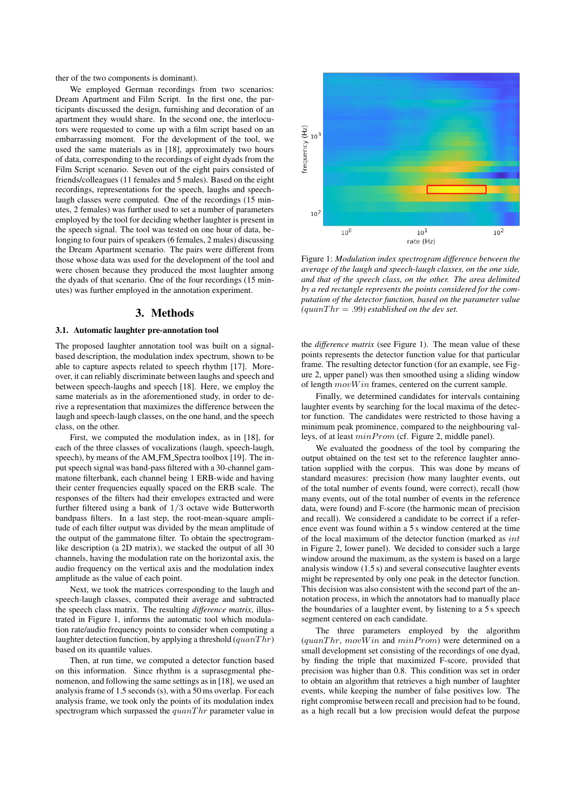ther of the two components is dominant).

We employed German recordings from two scenarios: Dream Apartment and Film Script. In the first one, the participants discussed the design, furnishing and decoration of an apartment they would share. In the second one, the interlocutors were requested to come up with a film script based on an embarrassing moment. For the development of the tool, we used the same materials as in [18], approximately two hours of data, corresponding to the recordings of eight dyads from the Film Script scenario. Seven out of the eight pairs consisted of friends/colleagues (11 females and 5 males). Based on the eight recordings, representations for the speech, laughs and speechlaugh classes were computed. One of the recordings (15 minutes, 2 females) was further used to set a number of parameters employed by the tool for deciding whether laughter is present in the speech signal. The tool was tested on one hour of data, belonging to four pairs of speakers (6 females, 2 males) discussing the Dream Apartment scenario. The pairs were different from those whose data was used for the development of the tool and were chosen because they produced the most laughter among the dyads of that scenario. One of the four recordings (15 minutes) was further employed in the annotation experiment.

# 3. Methods

#### 3.1. Automatic laughter pre-annotation tool

The proposed laughter annotation tool was built on a signalbased description, the modulation index spectrum, shown to be able to capture aspects related to speech rhythm [17]. Moreover, it can reliably discriminate between laughs and speech and between speech-laughs and speech [18]. Here, we employ the same materials as in the aforementioned study, in order to derive a representation that maximizes the difference between the laugh and speech-laugh classes, on the one hand, and the speech class, on the other.

First, we computed the modulation index, as in [18], for each of the three classes of vocalizations (laugh, speech-laugh, speech), by means of the AM\_FM\_Spectra toolbox [19]. The input speech signal was band-pass filtered with a 30-channel gammatone filterbank, each channel being 1 ERB-wide and having their center frequencies equally spaced on the ERB scale. The responses of the filters had their envelopes extracted and were further filtered using a bank of 1/3 octave wide Butterworth bandpass filters. In a last step, the root-mean-square amplitude of each filter output was divided by the mean amplitude of the output of the gammatone filter. To obtain the spectrogramlike description (a 2D matrix), we stacked the output of all 30 channels, having the modulation rate on the horizontal axis, the audio frequency on the vertical axis and the modulation index amplitude as the value of each point.

Next, we took the matrices corresponding to the laugh and speech-laugh classes, computed their average and subtracted the speech class matrix. The resulting *difference matrix*, illustrated in Figure 1, informs the automatic tool which modulation rate/audio frequency points to consider when computing a laughter detection function, by applying a threshold  $(quantir)$ based on its quantile values.

Then, at run time, we computed a detector function based on this information. Since rhythm is a suprasegmental phenomenon, and following the same settings as in [18], we used an analysis frame of 1.5 seconds (s), with a 50 ms overlap. For each analysis frame, we took only the points of its modulation index spectrogram which surpassed the  $quanThr$  parameter value in



Figure 1: *Modulation index spectrogram difference between the average of the laugh and speech-laugh classes, on the one side, and that of the speech class, on the other. The area delimited by a red rectangle represents the points considered for the computation of the detector function, based on the parameter value*  $(quant *equan Thr* = .99) established on the dev set.$ 

the *difference matrix* (see Figure 1). The mean value of these points represents the detector function value for that particular frame. The resulting detector function (for an example, see Figure 2, upper panel) was then smoothed using a sliding window of length  $movWin$  frames, centered on the current sample.

Finally, we determined candidates for intervals containing laughter events by searching for the local maxima of the detector function. The candidates were restricted to those having a minimum peak prominence, compared to the neighbouring valleys, of at least  $minProm$  (cf. Figure 2, middle panel).

We evaluated the goodness of the tool by comparing the output obtained on the test set to the reference laughter annotation supplied with the corpus. This was done by means of standard measures: precision (how many laughter events, out of the total number of events found, were correct), recall (how many events, out of the total number of events in the reference data, were found) and F-score (the harmonic mean of precision and recall). We considered a candidate to be correct if a reference event was found within a 5 s window centered at the time of the local maximum of the detector function (marked as int in Figure 2, lower panel). We decided to consider such a large window around the maximum, as the system is based on a large analysis window (1.5 s) and several consecutive laughter events might be represented by only one peak in the detector function. This decision was also consistent with the second part of the annotation process, in which the annotators had to manually place the boundaries of a laughter event, by listening to a 5 s speech segment centered on each candidate.

The three parameters employed by the algorithm  $(quantir, movWin$  and  $minFrom)$  were determined on a small development set consisting of the recordings of one dyad, by finding the triple that maximized F-score, provided that precision was higher than 0.8. This condition was set in order to obtain an algorithm that retrieves a high number of laughter events, while keeping the number of false positives low. The right compromise between recall and precision had to be found, as a high recall but a low precision would defeat the purpose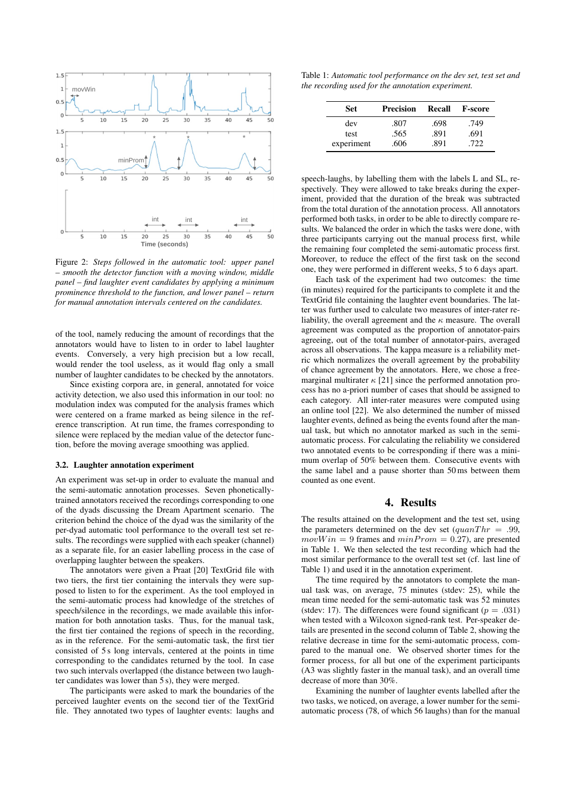

Figure 2: *Steps followed in the automatic tool: upper panel – smooth the detector function with a moving window, middle panel – find laughter event candidates by applying a minimum prominence threshold to the function, and lower panel – return for manual annotation intervals centered on the candidates.*

of the tool, namely reducing the amount of recordings that the annotators would have to listen to in order to label laughter events. Conversely, a very high precision but a low recall, would render the tool useless, as it would flag only a small number of laughter candidates to be checked by the annotators.

Since existing corpora are, in general, annotated for voice activity detection, we also used this information in our tool: no modulation index was computed for the analysis frames which were centered on a frame marked as being silence in the reference transcription. At run time, the frames corresponding to silence were replaced by the median value of the detector function, before the moving average smoothing was applied.

#### 3.2. Laughter annotation experiment

An experiment was set-up in order to evaluate the manual and the semi-automatic annotation processes. Seven phoneticallytrained annotators received the recordings corresponding to one of the dyads discussing the Dream Apartment scenario. The criterion behind the choice of the dyad was the similarity of the per-dyad automatic tool performance to the overall test set results. The recordings were supplied with each speaker (channel) as a separate file, for an easier labelling process in the case of overlapping laughter between the speakers.

The annotators were given a Praat [20] TextGrid file with two tiers, the first tier containing the intervals they were supposed to listen to for the experiment. As the tool employed in the semi-automatic process had knowledge of the stretches of speech/silence in the recordings, we made available this information for both annotation tasks. Thus, for the manual task, the first tier contained the regions of speech in the recording, as in the reference. For the semi-automatic task, the first tier consisted of 5 s long intervals, centered at the points in time corresponding to the candidates returned by the tool. In case two such intervals overlapped (the distance between two laughter candidates was lower than 5 s), they were merged.

The participants were asked to mark the boundaries of the perceived laughter events on the second tier of the TextGrid file. They annotated two types of laughter events: laughs and

Table 1: *Automatic tool performance on the dev set, test set and the recording used for the annotation experiment.*

| Set        | <b>Precision</b> | Recall | <b>F-score</b> |
|------------|------------------|--------|----------------|
| dev        | .807             | .698   | .749           |
| test       | .565             | .891   | .691           |
| experiment | .606             | .891   | .722           |

speech-laughs, by labelling them with the labels L and SL, respectively. They were allowed to take breaks during the experiment, provided that the duration of the break was subtracted from the total duration of the annotation process. All annotators performed both tasks, in order to be able to directly compare results. We balanced the order in which the tasks were done, with three participants carrying out the manual process first, while the remaining four completed the semi-automatic process first. Moreover, to reduce the effect of the first task on the second one, they were performed in different weeks, 5 to 6 days apart.

Each task of the experiment had two outcomes: the time (in minutes) required for the participants to complete it and the TextGrid file containing the laughter event boundaries. The latter was further used to calculate two measures of inter-rater reliability, the overall agreement and the  $\kappa$  measure. The overall agreement was computed as the proportion of annotator-pairs agreeing, out of the total number of annotator-pairs, averaged across all observations. The kappa measure is a reliability metric which normalizes the overall agreement by the probability of chance agreement by the annotators. Here, we chose a freemarginal multirater  $\kappa$  [21] since the performed annotation process has no a-priori number of cases that should be assigned to each category. All inter-rater measures were computed using an online tool [22]. We also determined the number of missed laughter events, defined as being the events found after the manual task, but which no annotator marked as such in the semiautomatic process. For calculating the reliability we considered two annotated events to be corresponding if there was a minimum overlap of 50% between them. Consecutive events with the same label and a pause shorter than 50 ms between them counted as one event.

### 4. Results

The results attained on the development and the test set, using the parameters determined on the dev set  $(quant *Turn* = .99)$ ,  $movWin = 9$  frames and  $minFrom = 0.27$ , are presented in Table 1. We then selected the test recording which had the most similar performance to the overall test set (cf. last line of Table 1) and used it in the annotation experiment.

The time required by the annotators to complete the manual task was, on average, 75 minutes (stdev: 25), while the mean time needed for the semi-automatic task was 52 minutes (stdev: 17). The differences were found significant ( $p = .031$ ) when tested with a Wilcoxon signed-rank test. Per-speaker details are presented in the second column of Table 2, showing the relative decrease in time for the semi-automatic process, compared to the manual one. We observed shorter times for the former process, for all but one of the experiment participants (A3 was slightly faster in the manual task), and an overall time decrease of more than 30%.

Examining the number of laughter events labelled after the two tasks, we noticed, on average, a lower number for the semiautomatic process (78, of which 56 laughs) than for the manual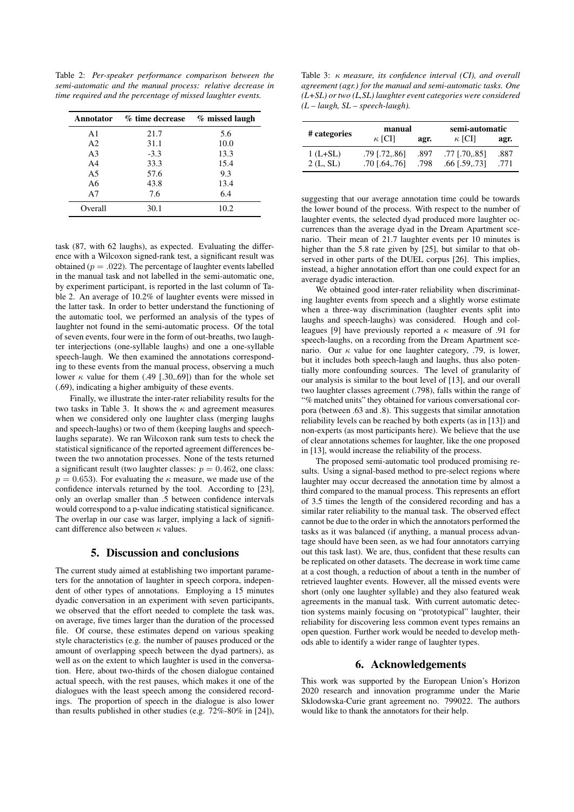Table 2: *Per-speaker performance comparison between the semi-automatic and the manual process: relative decrease in time required and the percentage of missed laughter events.*

|                | Annotator % time decrease | % missed laugh |  |
|----------------|---------------------------|----------------|--|
| A <sub>1</sub> | 21.7                      | 5.6            |  |
| A <sub>2</sub> | 31.1                      | 10.0           |  |
| A <sub>3</sub> | $-3.3$                    | 13.3           |  |
| A <sub>4</sub> | 33.3                      | 15.4           |  |
| A <sub>5</sub> | 57.6                      | 9.3            |  |
| A6             | 43.8                      | 13.4           |  |
| A7             | 7.6                       | 6.4            |  |
| Overall        | 30.1                      | 10.2           |  |

task (87, with 62 laughs), as expected. Evaluating the difference with a Wilcoxon signed-rank test, a significant result was obtained ( $p = .022$ ). The percentage of laughter events labelled in the manual task and not labelled in the semi-automatic one, by experiment participant, is reported in the last column of Table 2. An average of 10.2% of laughter events were missed in the latter task. In order to better understand the functioning of the automatic tool, we performed an analysis of the types of laughter not found in the semi-automatic process. Of the total of seven events, four were in the form of out-breaths, two laughter interjections (one-syllable laughs) and one a one-syllable speech-laugh. We then examined the annotations corresponding to these events from the manual process, observing a much lower  $\kappa$  value for them (.49 [.30,.69]) than for the whole set (.69), indicating a higher ambiguity of these events.

Finally, we illustrate the inter-rater reliability results for the two tasks in Table 3. It shows the  $\kappa$  and agreement measures when we considered only one laughter class (merging laughs and speech-laughs) or two of them (keeping laughs and speechlaughs separate). We ran Wilcoxon rank sum tests to check the statistical significance of the reported agreement differences between the two annotation processes. None of the tests returned a significant result (two laughter classes:  $p = 0.462$ , one class:  $p = 0.653$ . For evaluating the  $\kappa$  measure, we made use of the confidence intervals returned by the tool. According to [23], only an overlap smaller than .5 between confidence intervals would correspond to a p-value indicating statistical significance. The overlap in our case was larger, implying a lack of significant difference also between κ values.

# 5. Discussion and conclusions

The current study aimed at establishing two important parameters for the annotation of laughter in speech corpora, independent of other types of annotations. Employing a 15 minutes dyadic conversation in an experiment with seven participants, we observed that the effort needed to complete the task was, on average, five times larger than the duration of the processed file. Of course, these estimates depend on various speaking style characteristics (e.g. the number of pauses produced or the amount of overlapping speech between the dyad partners), as well as on the extent to which laughter is used in the conversation. Here, about two-thirds of the chosen dialogue contained actual speech, with the rest pauses, which makes it one of the dialogues with the least speech among the considered recordings. The proportion of speech in the dialogue is also lower than results published in other studies (e.g. 72%-80% in [24]),

Table 3: κ *measure, its confidence interval (CI), and overall agreement (agr.) for the manual and semi-automatic tasks. One (L+SL) or two (L,SL) laughter event categories were considered (L – laugh, SL – speech-laugh).*

| # categories | manual          |      | semi-automatic  |      |
|--------------|-----------------|------|-----------------|------|
|              | $\kappa$ [CI]   | agr. | $\kappa$ [CI]   | agr. |
| $1(L+SL)$    | $.79$ [.72,.86] | .897 | $.77$ [.70,.85] | .887 |
| 2(L, SL)     | $.70$ [.64, 76] | .798 | $.66$ [.59, 73] | .771 |

suggesting that our average annotation time could be towards the lower bound of the process. With respect to the number of laughter events, the selected dyad produced more laughter occurrences than the average dyad in the Dream Apartment scenario. Their mean of 21.7 laughter events per 10 minutes is higher than the 5.8 rate given by [25], but similar to that observed in other parts of the DUEL corpus [26]. This implies, instead, a higher annotation effort than one could expect for an average dyadic interaction.

We obtained good inter-rater reliability when discriminating laughter events from speech and a slightly worse estimate when a three-way discrimination (laughter events split into laughs and speech-laughs) was considered. Hough and colleagues [9] have previously reported a  $\kappa$  measure of .91 for speech-laughs, on a recording from the Dream Apartment scenario. Our  $\kappa$  value for one laughter category, .79, is lower, but it includes both speech-laugh and laughs, thus also potentially more confounding sources. The level of granularity of our analysis is similar to the bout level of [13], and our overall two laughter classes agreement (.798), falls within the range of "% matched units" they obtained for various conversational corpora (between .63 and .8). This suggests that similar annotation reliability levels can be reached by both experts (as in [13]) and non-experts (as most participants here). We believe that the use of clear annotations schemes for laughter, like the one proposed in [13], would increase the reliability of the process.

The proposed semi-automatic tool produced promising results. Using a signal-based method to pre-select regions where laughter may occur decreased the annotation time by almost a third compared to the manual process. This represents an effort of 3.5 times the length of the considered recording and has a similar rater reliability to the manual task. The observed effect cannot be due to the order in which the annotators performed the tasks as it was balanced (if anything, a manual process advantage should have been seen, as we had four annotators carrying out this task last). We are, thus, confident that these results can be replicated on other datasets. The decrease in work time came at a cost though, a reduction of about a tenth in the number of retrieved laughter events. However, all the missed events were short (only one laughter syllable) and they also featured weak agreements in the manual task. With current automatic detection systems mainly focusing on "prototypical" laughter, their reliability for discovering less common event types remains an open question. Further work would be needed to develop methods able to identify a wider range of laughter types.

### 6. Acknowledgements

This work was supported by the European Union's Horizon 2020 research and innovation programme under the Marie Sklodowska-Curie grant agreement no. 799022. The authors would like to thank the annotators for their help.